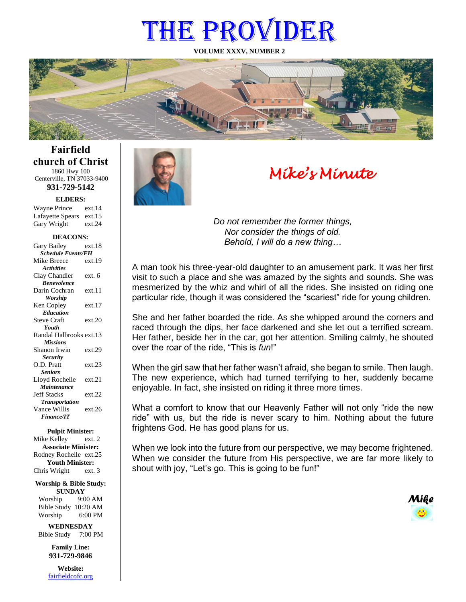# THE PROVIDER

**VOLUME XXXV, NUMBER 2**



# **Fairfield church of Christ** 1860 Hwy 100

Centerville, TN 37033-9400 **931-729-5142**

**ELDERS:**

Gary Wright ext.24 Wayne Prince ext.14 Lafayette Spears ext.15

#### **DEACONS:**

| Gary Bailey               | ext.18 |
|---------------------------|--------|
| <b>Schedule Events/FH</b> |        |
| Mike Breece               | ext.19 |
| <b>Activities</b>         |        |
| Clay Chandler             | ext. 6 |
| <b>Benevolence</b>        |        |
| Darin Cochran             | ext.11 |
| Worship                   |        |
| Ken Copley                | ext.17 |
| <b>Education</b>          |        |
| <b>Steve Craft</b>        | ext.20 |
| Youth                     |        |
| Randal Halbrooks ext.13   |        |
| <b>Missions</b>           |        |
| Shanon Irwin              | ext.29 |
| <b>Security</b>           |        |
| O.D. Pratt                | ext.23 |
| <b>Seniors</b>            |        |
| Lloyd Rochelle            | ext.21 |
| Maintenance               |        |
| <b>Jeff Stacks</b>        | ext.22 |
| <b>Transportation</b>     |        |
| Vance Willis              | ext.26 |
| <b>Finance/IT</b>         |        |

#### **Pulpit Minister:**

Mike Kelley ext. 2 **Associate Minister:** Rodney Rochelle ext.25 **Youth Minister:** Chris Wright ext. 3

#### **Worship & Bible Study: SUNDAY**

Worship 9:00 AM Bible Study 10:20 AM Worship 6:00 PM

**WEDNESDAY** Bible Study 7:00 PM

> **Family Line: 931-729-9846**

**Website:** [fairfieldcofc.org](file:///C:/Users/RickJoyce/Documents/Fairfield%20Website%20Files/fairfieldchurchofchrist.org)



# *Mike's Minute*

*Do not remember the former things, Nor consider the things of old. Behold, I will do a new thing…*

A man took his three-year-old daughter to an amusement park. It was her first visit to such a place and she was amazed by the sights and sounds. She was mesmerized by the whiz and whirl of all the rides. She insisted on riding one particular ride, though it was considered the "scariest" ride for young children.

She and her father boarded the ride. As she whipped around the corners and raced through the dips, her face darkened and she let out a terrified scream. Her father, beside her in the car, got her attention. Smiling calmly, he shouted over the roar of the ride, "This is *fun*!"

When the girl saw that her father wasn't afraid, she began to smile. Then laugh. The new experience, which had turned terrifying to her, suddenly became enjoyable. In fact, she insisted on riding it three more times.

What a comfort to know that our Heavenly Father will not only "ride the new ride" with us, but the ride is never scary to him. Nothing about the future frightens God. He has good plans for us.

When we look into the future from our perspective, we may become frightened. When we consider the future from His perspective, we are far more likely to shout with joy, "Let's go. This is going to be fun!"

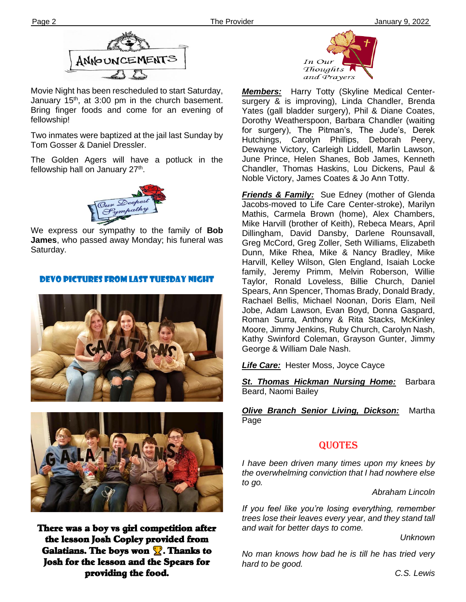

Movie Night has been rescheduled to start Saturday, January  $15<sup>th</sup>$ , at 3:00 pm in the church basement. Bring finger foods and come for an evening of fellowship!

Two inmates were baptized at the jail last Sunday by Tom Gosser & Daniel Dressler.

**Ther** The Golden Agers will have a potluck in the fellowship hall on January 27<sup>th</sup>.



We express our sympathy to the family of **Bob James**, who passed away Monday; his funeral was Saturday.

# Devo pictures from last Tuesday night





There was a boy vs girl competition after the lesson Josh Copley provided from Galatians. The boys won  $\mathbb{R}$ . Thanks to Josh for the lesson and the Spears for providing the food.



*Members:* Harry Totty (Skyline Medical Centersurgery & is improving), Linda Chandler, Brenda Yates (gall bladder surgery), Phil & Diane Coates, Dorothy Weatherspoon, Barbara Chandler (waiting for surgery), The Pitman's, The Jude's, Derek Hutchings, Carolyn Phillips, Deborah Peery, Dewayne Victory, Carleigh Liddell, Marlin Lawson, June Prince, Helen Shanes, Bob James, Kenneth Chandler, Thomas Haskins, Lou Dickens, Paul & Noble Victory, James Coates & Jo Ann Totty.

*Friends & Family:* Sue Edney (mother of Glenda Jacobs-moved to Life Care Center-stroke), Marilyn Mathis, Carmela Brown (home), Alex Chambers, Mike Harvill (brother of Keith), Rebeca Mears, April Dillingham, David Dansby, Darlene Rounsavall, Greg McCord, Greg Zoller, Seth Williams, Elizabeth Dunn, Mike Rhea, Mike & Nancy Bradley, Mike Harvill, Kelley Wilson, Glen England, Isaiah Locke family, Jeremy Primm, Melvin Roberson, Willie Taylor, Ronald Loveless, Billie Church, Daniel Spears, Ann Spencer, Thomas Brady, Donald Brady, Rachael Bellis, Michael Noonan, Doris Elam, Neil Jobe, Adam Lawson, Evan Boyd, Donna Gaspard, Roman Surra, Anthony & Rita Stacks, McKinley Moore, Jimmy Jenkins, Ruby Church, Carolyn Nash, Kathy Swinford Coleman, Grayson Gunter, Jimmy George & William Dale Nash.

*Life Care:* Hester Moss, Joyce Cayce

*St. Thomas Hickman Nursing Home:* Barbara Beard, Naomi Bailey

*Olive Branch Senior Living, Dickson:* Martha Page

## **QUOTES**

*I have been driven many times upon my knees by the overwhelming conviction that I had nowhere else to go.*

*Abraham Lincoln*

*If you feel like you're losing everything, remember trees lose their leaves every year, and they stand tall and wait for better days to come.*

*Unknown*

*No man knows how bad he is till he has tried very hard to be good.*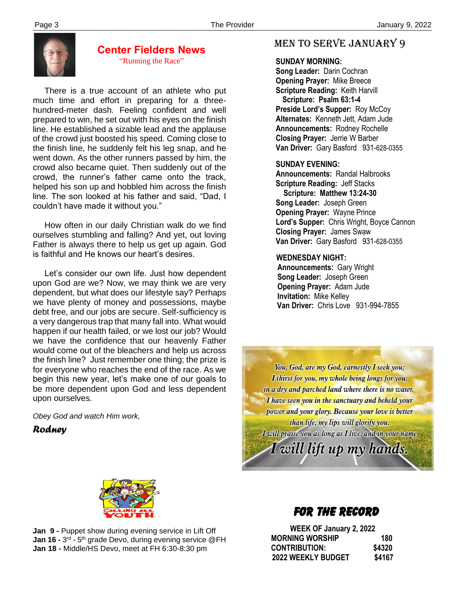

#### **Center Fielders News** "Running the Race"

 There is a true account of an athlete who put much time and effort in preparing for a threehundred-meter dash. Feeling confident and well prepared to win, he set out with his eyes on the finish line. He established a sizable lead and the applause of the crowd just boosted his speed. Coming close to the finish line, he suddenly felt his leg snap, and he went down. As the other runners passed by him, the crowd also became quiet. Then suddenly out of the crowd, the runner's father came onto the track, helped his son up and hobbled him across the finish line. The son looked at his father and said, "Dad, I couldn't have made it without you."

 How often in our daily Christian walk do we find ourselves stumbling and falling? And yet, out loving Father is always there to help us get up again. God is faithful and He knows our heart's desires.

 Let's consider our own life. Just how dependent upon God are we? Now, we may think we are very dependent, but what does our lifestyle say? Perhaps we have plenty of money and possessions, maybe debt free, and our jobs are secure. Self-sufficiency is a very dangerous trap that many fall into. What would happen if our health failed, or we lost our job? Would we have the confidence that our heavenly Father would come out of the bleachers and help us across the finish line? Just remember one thing; the prize is for everyone who reaches the end of the race. As we begin this new year, let's make one of our goals to be more dependent upon God and less dependent upon ourselves.

*Obey God and watch Him work,*

*Rodney*

# MEN TO SERVE January 9

#### **SUNDAY MORNING:**

**Song Leader:** Darin Cochran  **Opening Prayer:** Mike Breece **Scripture Reading:** Keith Harvill  **Scripture: Psalm 63:1-4 Preside Lord's Supper:** Roy McCoy  **Alternates:** Kenneth Jett, Adam Jude  **Announcements:** Rodney Rochelle  **Closing Prayer:** Jerrie W Barber **Van Driver:** Gary Basford 931-628-0355

#### **SUNDAY EVENING:**

**Announcements:** Randal Halbrooks **Scripture Reading:** Jeff Stacks  **Scripture: Matthew 13:24-30 Song Leader:** Joseph Green **Opening Prayer:** Wayne Prince **Lord's Supper:** Chris Wright, Boyce Cannon **Closing Prayer:** James Swaw **Van Driver:** Gary Basford 931-628-0355

#### **WEDNESDAY NIGHT:**

**Announcements:** Gary Wright **Song Leader:** Joseph Green **Opening Prayer:** Adam Jude **Invitation:** Mike Kelley  **Van Driver:** Chris Love 931-994-7855

You, God, are my God, earnestly I seek you; I thirst for you, my whole being longs for you, in a dry and parched land where there is no water. I have seen you in the sanctuary and beheld your power and your glory. Because your love is better than life, my lips will glorify you. I will praise you as long as I live, and in your name

I will lift up my hands.



**Jan 16 -** 3<sup>rd</sup> - 5<sup>th</sup> grade Devo, during evening service @FH **Jan 9 -** Puppet show during evening service in Lift Off **Jan 18 -** Middle/HS Devo, meet at FH 6:30-8:30 pm

# FOR THE RECORD

 **WEEK OF January 2, 2022 MORNING WORSHIP 180 CONTRIBUTION: \$4320 2022 WEEKLY BUDGET \$4167**